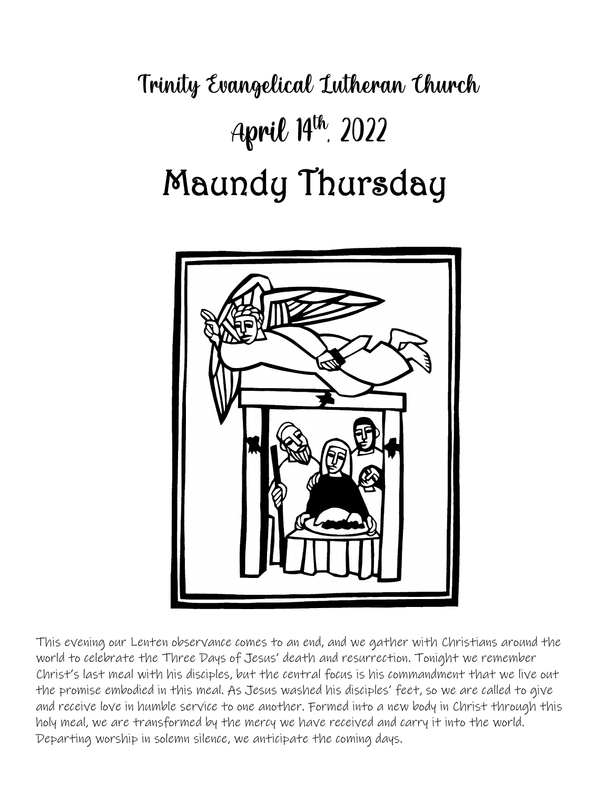# Trinity Evangelical Lutheran Church April 14th, 2022 Maundy Thursday



This evening our Lenten observance comes to an end, and we gather with Christians around the world to celebrate the Three Days of Jesus' death and resurrection. Tonight we remember Christ's last meal with his disciples, but the central focus is his commandment that we live out the promise embodied in this meal. As Jesus washed his disciples' feet, so we are called to give and receive love in humble service to one another. Formed into a new body in Christ through this holy meal, we are transformed by the mercy we have received and carry it into the world. Departing worship in solemn silence, we anticipate the coming days.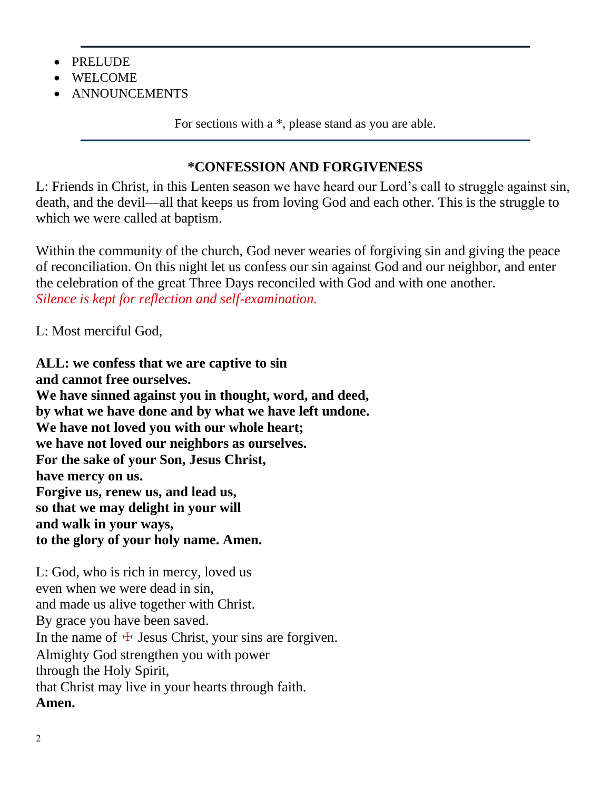- PRELUDE
- WELCOME
- ANNOUNCEMENTS

For sections with a \*, please stand as you are able.

#### **\*CONFESSION AND FORGIVENESS**

L: Friends in Christ, in this Lenten season we have heard our Lord's call to struggle against sin, death, and the devil—all that keeps us from loving God and each other. This is the struggle to which we were called at baptism.

Within the community of the church, God never wearies of forgiving sin and giving the peace of reconciliation. On this night let us confess our sin against God and our neighbor, and enter the celebration of the great Three Days reconciled with God and with one another. *Silence is kept for reflection and self-examination.*

L: Most merciful God,

**ALL: we confess that we are captive to sin and cannot free ourselves. We have sinned against you in thought, word, and deed, by what we have done and by what we have left undone. We have not loved you with our whole heart; we have not loved our neighbors as ourselves. For the sake of your Son, Jesus Christ, have mercy on us. Forgive us, renew us, and lead us, so that we may delight in your will and walk in your ways, to the glory of your holy name. Amen.**

L: God, who is rich in mercy, loved us even when we were dead in sin, and made us alive together with Christ. By grace you have been saved. In the name of  $\pm$  Jesus Christ, your sins are forgiven. Almighty God strengthen you with power through the Holy Spirit, that Christ may live in your hearts through faith. **Amen.**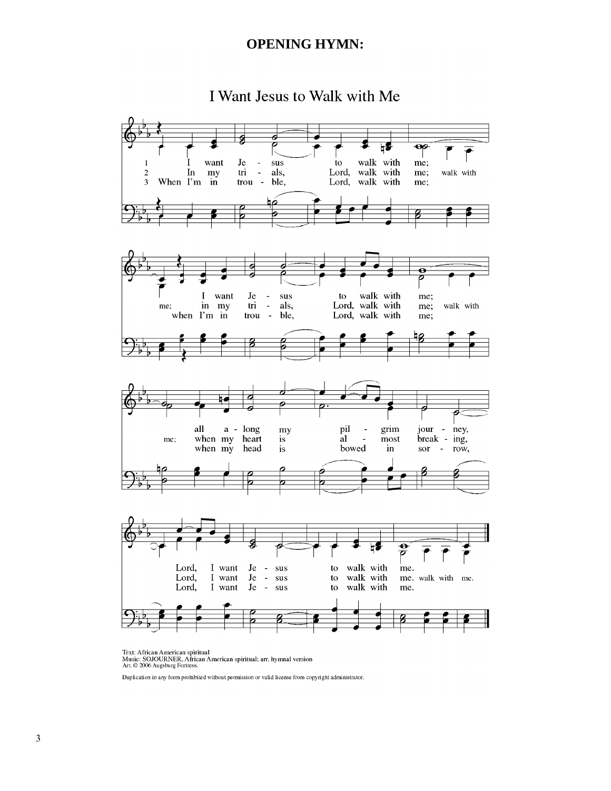#### **OPENING HYMN:**

I Want Jesus to Walk with Me



Text: African American spiritual<br>Music: SOJOURNER, African American spiritual; arr. hymnal version<br>Arr. © 2006 Augsburg Fortress.

Duplication in any form prohibited without permission or valid license from copyright administrator.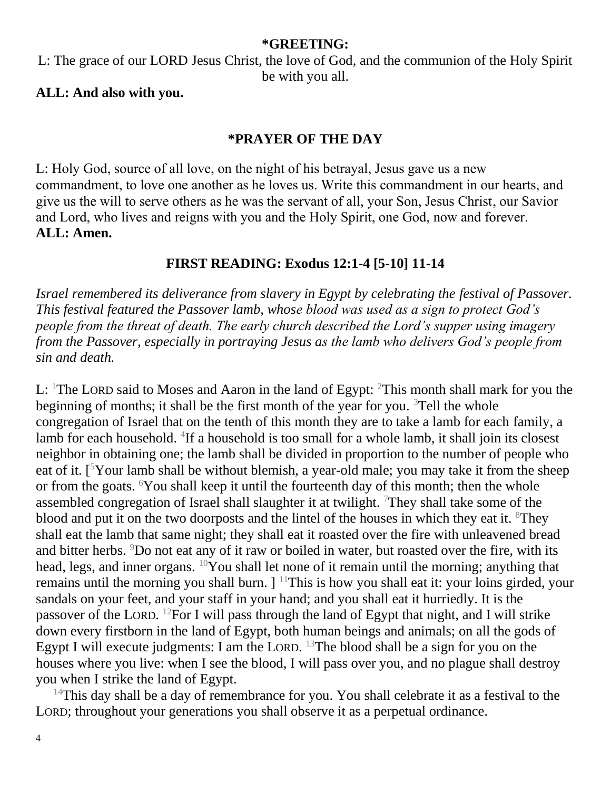#### **\*GREETING:**

L: The grace of our LORD Jesus Christ, the love of God, and the communion of the Holy Spirit be with you all.

#### **ALL: And also with you.**

#### **\*PRAYER OF THE DAY**

L: Holy God, source of all love, on the night of his betrayal, Jesus gave us a new commandment, to love one another as he loves us. Write this commandment in our hearts, and give us the will to serve others as he was the servant of all, your Son, Jesus Christ, our Savior and Lord, who lives and reigns with you and the Holy Spirit, one God, now and forever. **ALL: Amen.**

#### **FIRST READING: Exodus 12:1-4 [5-10] 11-14**

*Israel remembered its deliverance from slavery in Egypt by celebrating the festival of Passover. This festival featured the Passover lamb, whose blood was used as a sign to protect God's people from the threat of death. The early church described the Lord's supper using imagery from the Passover, especially in portraying Jesus as the lamb who delivers God's people from sin and death.*

L: <sup>1</sup>The LORD said to Moses and Aaron in the land of Egypt: <sup>2</sup>This month shall mark for you the beginning of months; it shall be the first month of the year for you.  $3T$ ell the whole congregation of Israel that on the tenth of this month they are to take a lamb for each family, a lamb for each household. <sup>4</sup>If a household is too small for a whole lamb, it shall join its closest neighbor in obtaining one; the lamb shall be divided in proportion to the number of people who eat of it.  $\lceil5\,\mathrm{Your}\rceil$  lamb shall be without blemish, a year-old male; you may take it from the sheep or from the goats. <sup>6</sup>You shall keep it until the fourteenth day of this month; then the whole assembled congregation of Israel shall slaughter it at twilight. <sup>7</sup>They shall take some of the blood and put it on the two doorposts and the lintel of the houses in which they eat it.  ${}^{8}$ They shall eat the lamb that same night; they shall eat it roasted over the fire with unleavened bread and bitter herbs. <sup>9</sup>Do not eat any of it raw or boiled in water, but roasted over the fire, with its head, legs, and inner organs. <sup>10</sup>You shall let none of it remain until the morning; anything that remains until the morning you shall burn.  $]$ <sup>11</sup>This is how you shall eat it: your loins girded, your sandals on your feet, and your staff in your hand; and you shall eat it hurriedly. It is the passover of the LORD. <sup>12</sup>For I will pass through the land of Egypt that night, and I will strike down every firstborn in the land of Egypt, both human beings and animals; on all the gods of Egypt I will execute judgments: I am the LORD.  $^{13}$ The blood shall be a sign for you on the houses where you live: when I see the blood, I will pass over you, and no plague shall destroy you when I strike the land of Egypt.

<sup>14</sup>This day shall be a day of remembrance for you. You shall celebrate it as a festival to the LORD; throughout your generations you shall observe it as a perpetual ordinance.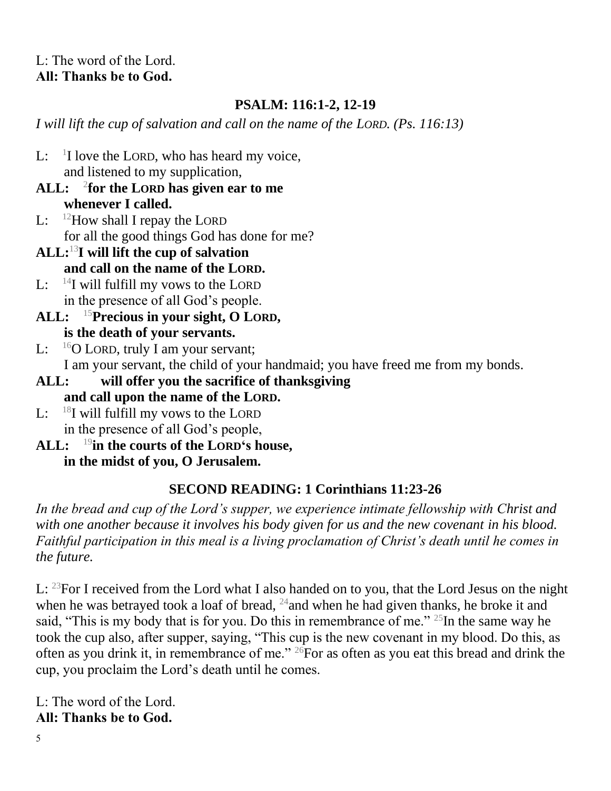#### L: The word of the Lord. **All: Thanks be to God.**

#### **PSALM: 116:1-2, 12-19**

*I will lift the cup of salvation and call on the name of the LORD. (Ps. 116:13)*

- $\mathbf{L}$ :  $1$ I love the LORD, who has heard my voice, and listened to my supplication,
- **ALL:** <sup>2</sup> **for the LORD has given ear to me whenever I called.**
- L:  $12$ How shall I repay the LORD for all the good things God has done for me?
- **ALL:**<sup>13</sup>**I will lift the cup of salvation and call on the name of the LORD.**
- L:  $^{14}$ I will fulfill my vows to the LORD in the presence of all God's people.
- **ALL:** <sup>15</sup>**Precious in your sight, O LORD, is the death of your servants.**
- L:  $^{16}$ O LORD, truly I am your servant; I am your servant, the child of your handmaid; you have freed me from my bonds.
- **ALL: will offer you the sacrifice of thanksgiving and call upon the name of the LORD.**
- L:  $^{18}$ I will fulfill my vows to the LORD in the presence of all God's people,
- **ALL:** <sup>19</sup>**in the courts of the LORD's house, in the midst of you, O Jerusalem.**

#### **SECOND READING: 1 Corinthians 11:23-26**

*In the bread and cup of the Lord's supper, we experience intimate fellowship with Christ and with one another because it involves his body given for us and the new covenant in his blood. Faithful participation in this meal is a living proclamation of Christ's death until he comes in the future.*

L: <sup>23</sup>For I received from the Lord what I also handed on to you, that the Lord Jesus on the night when he was betrayed took a loaf of bread,  $^{24}$  and when he had given thanks, he broke it and said, "This is my body that is for you. Do this in remembrance of me."  $^{25}$ In the same way he took the cup also, after supper, saying, "This cup is the new covenant in my blood. Do this, as often as you drink it, in remembrance of me." <sup>26</sup>For as often as you eat this bread and drink the cup, you proclaim the Lord's death until he comes.

L: The word of the Lord. **All: Thanks be to God.**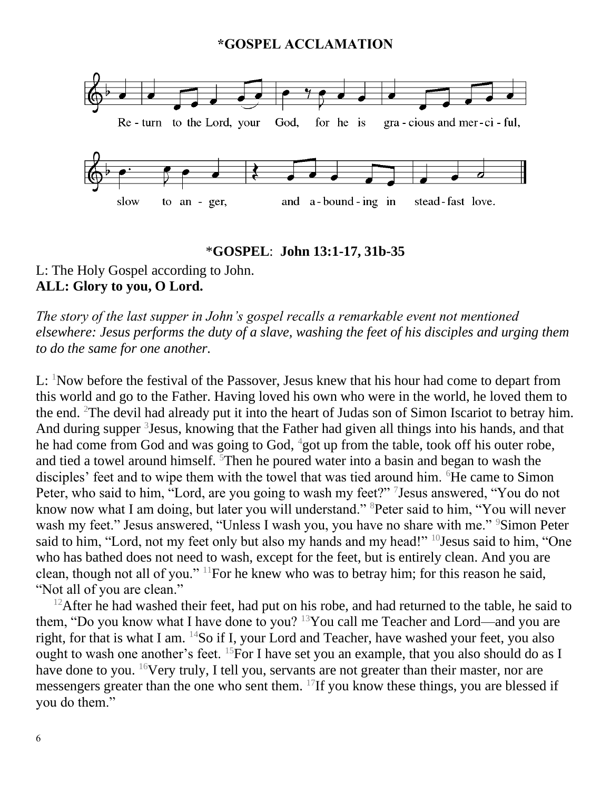#### **\*GOSPEL ACCLAMATION**



#### \***GOSPEL**: **John 13:1-17, 31b-35**

#### L: The Holy Gospel according to John. **ALL: Glory to you, O Lord.**

*The story of the last supper in John's gospel recalls a remarkable event not mentioned elsewhere: Jesus performs the duty of a slave, washing the feet of his disciples and urging them to do the same for one another.*

L: <sup>1</sup>Now before the festival of the Passover, Jesus knew that his hour had come to depart from this world and go to the Father. Having loved his own who were in the world, he loved them to the end. <sup>2</sup>The devil had already put it into the heart of Judas son of Simon Iscariot to betray him. And during supper <sup>3</sup> Jesus, knowing that the Father had given all things into his hands, and that he had come from God and was going to God,  $4$ got up from the table, took off his outer robe, and tied a towel around himself. <sup>5</sup>Then he poured water into a basin and began to wash the disciples' feet and to wipe them with the towel that was tied around him. <sup>6</sup>He came to Simon Peter, who said to him, "Lord, are you going to wash my feet?" <sup>7</sup> Jesus answered, "You do not know now what I am doing, but later you will understand." <sup>8</sup>Peter said to him, "You will never wash my feet." Jesus answered, "Unless I wash you, you have no share with me." <sup>9</sup>Simon Peter said to him, "Lord, not my feet only but also my hands and my head!" <sup>10</sup>Jesus said to him, "One who has bathed does not need to wash, except for the feet, but is entirely clean. And you are clean, though not all of you." <sup>11</sup>For he knew who was to betray him; for this reason he said, "Not all of you are clean."

 $12$ After he had washed their feet, had put on his robe, and had returned to the table, he said to them, "Do you know what I have done to you? <sup>13</sup>You call me Teacher and Lord—and you are right, for that is what I am. <sup>14</sup>So if I, your Lord and Teacher, have washed your feet, you also ought to wash one another's feet. <sup>15</sup>For I have set you an example, that you also should do as I have done to you. <sup>16</sup>Very truly, I tell you, servants are not greater than their master, nor are messengers greater than the one who sent them. <sup>17</sup>If you know these things, you are blessed if you do them."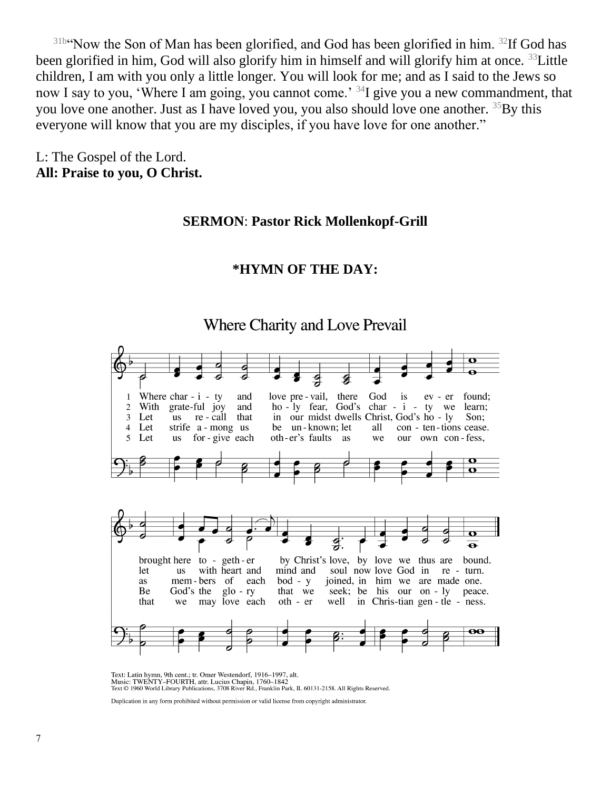$31b$ "Now the Son of Man has been glorified, and God has been glorified in him.  $32If$  God has been glorified in him, God will also glorify him in himself and will glorify him at once. <sup>33</sup>Little children, I am with you only a little longer. You will look for me; and as I said to the Jews so now I say to you, 'Where I am going, you cannot come.' <sup>34</sup>I give you a new commandment, that you love one another. Just as I have loved you, you also should love one another. <sup>35</sup>By this everyone will know that you are my disciples, if you have love for one another."

L: The Gospel of the Lord. **All: Praise to you, O Christ.**

#### **SERMON**: **Pastor Rick Mollenkopf-Grill**

## **\*HYMN OF THE DAY:**



Text: Latin hymn, 9th cent.; tr. Omer Westendorf, 1916-1997, alt. Music: TWENTY-FOURTH, attr. Lucius Chapin, 1760–1842<br>Text © 1960 World Library Publications, 3708 River Rd., Franklin Park, IL 60131-2158. All Rights Reserved.

Duplication in any form prohibited without permission or valid license from copyright administrator.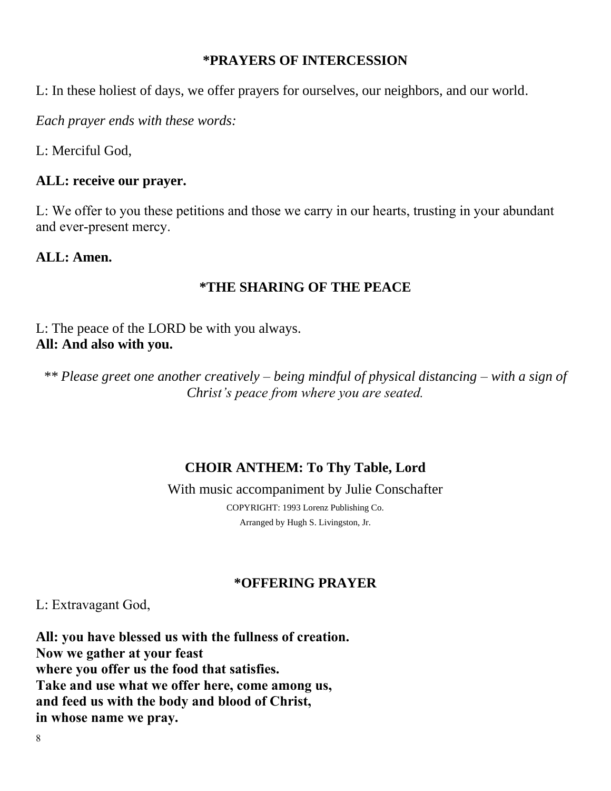#### **\*PRAYERS OF INTERCESSION**

L: In these holiest of days, we offer prayers for ourselves, our neighbors, and our world.

*Each prayer ends with these words:*

L: Merciful God,

#### **ALL: receive our prayer.**

L: We offer to you these petitions and those we carry in our hearts, trusting in your abundant and ever-present mercy.

#### **ALL: Amen.**

#### **\*THE SHARING OF THE PEACE**

L: The peace of the LORD be with you always. **All: And also with you.**

*\*\* Please greet one another creatively – being mindful of physical distancing – with a sign of Christ's peace from where you are seated.*

#### **CHOIR ANTHEM: To Thy Table, Lord**

#### With music accompaniment by Julie Conschafter

COPYRIGHT: 1993 Lorenz Publishing Co. Arranged by Hugh S. Livingston, Jr.

#### **\*OFFERING PRAYER**

L: Extravagant God,

**All: you have blessed us with the fullness of creation. Now we gather at your feast where you offer us the food that satisfies. Take and use what we offer here, come among us, and feed us with the body and blood of Christ, in whose name we pray.**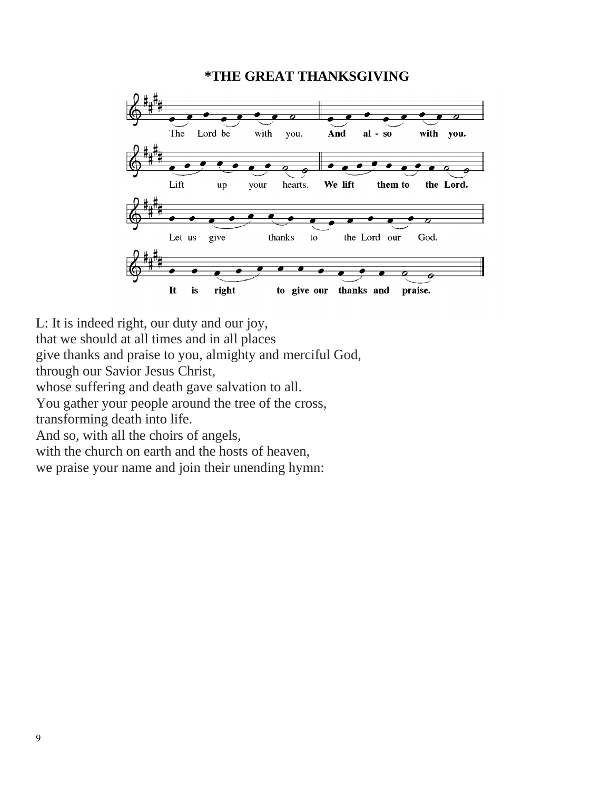#### **\*THE GREAT THANKSGIVING**



L: It is indeed right, our duty and our joy,

that we should at all times and in all places

give thanks and praise to you, almighty and merciful God,

through our Savior Jesus Christ,

whose suffering and death gave salvation to all.

You gather your people around the tree of the cross,

transforming death into life.

And so, with all the choirs of angels,

with the church on earth and the hosts of heaven,

we praise your name and join their unending hymn: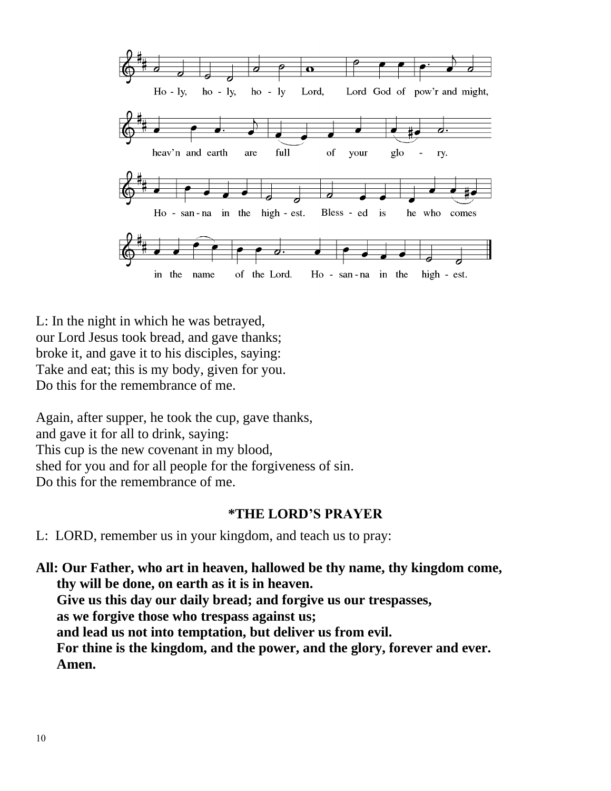

L: In the night in which he was betrayed, our Lord Jesus took bread, and gave thanks; broke it, and gave it to his disciples, saying: Take and eat; this is my body, given for you. Do this for the remembrance of me.

Again, after supper, he took the cup, gave thanks, and gave it for all to drink, saying: This cup is the new covenant in my blood, shed for you and for all people for the forgiveness of sin. Do this for the remembrance of me.

#### **\*THE LORD'S PRAYER**

L: LORD, remember us in your kingdom, and teach us to pray:

**All: Our Father, who art in heaven, hallowed be thy name, thy kingdom come, thy will be done, on earth as it is in heaven. Give us this day our daily bread; and forgive us our trespasses, as we forgive those who trespass against us; and lead us not into temptation, but deliver us from evil. For thine is the kingdom, and the power, and the glory, forever and ever. Amen.**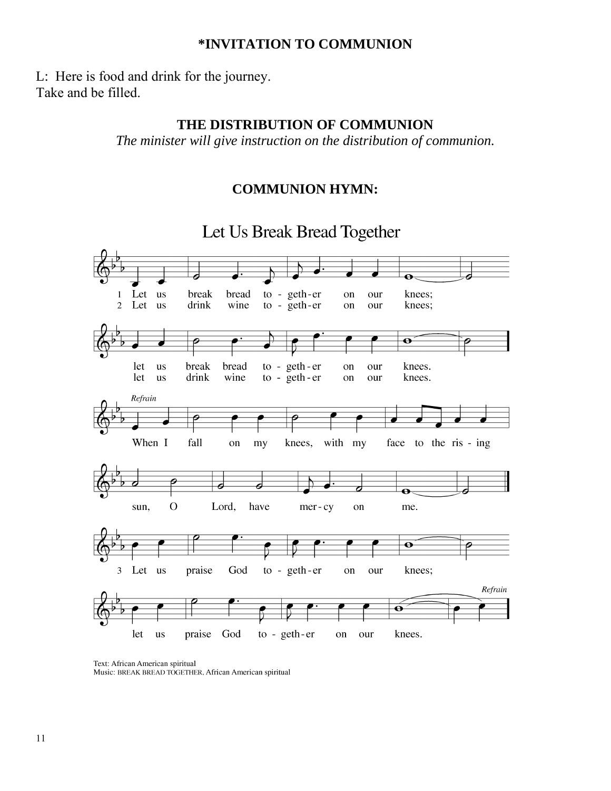#### **\*INVITATION TO COMMUNION**

L: Here is food and drink for the journey. Take and be filled.

#### **THE DISTRIBUTION OF COMMUNION**

*The minister will give instruction on the distribution of communion.*

#### **COMMUNION HYMN:**



Text: African American spiritual Music: BREAK BREAD TOGETHER, African American spiritual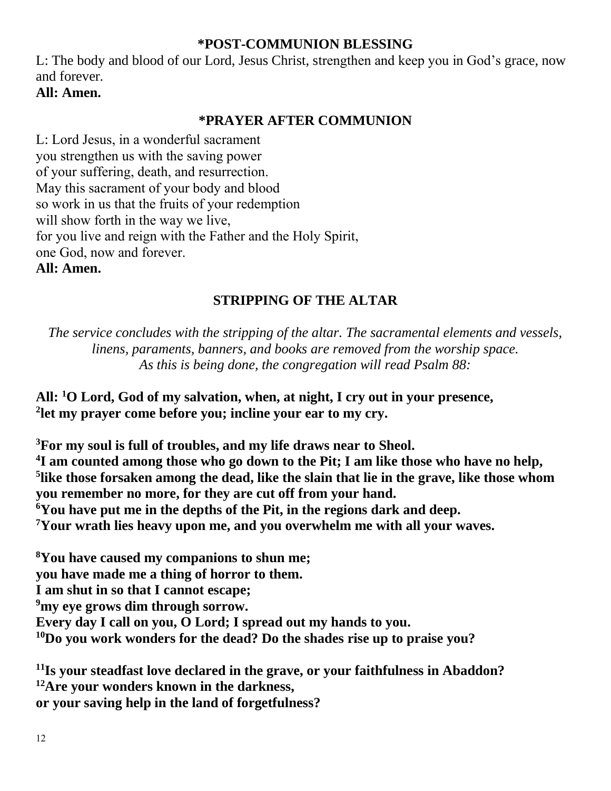#### **\*POST-COMMUNION BLESSING**

L: The body and blood of our Lord, Jesus Christ, strengthen and keep you in God's grace, now and forever.

#### **All: Amen.**

#### **\*PRAYER AFTER COMMUNION**

L: Lord Jesus, in a wonderful sacrament you strengthen us with the saving power of your suffering, death, and resurrection. May this sacrament of your body and blood so work in us that the fruits of your redemption will show forth in the way we live, for you live and reign with the Father and the Holy Spirit, one God, now and forever. **All: Amen.**

#### **STRIPPING OF THE ALTAR**

*The service concludes with the stripping of the altar. The sacramental elements and vessels, linens, paraments, banners, and books are removed from the worship space. As this is being done, the congregation will read Psalm 88:*

**All: <sup>1</sup>O Lord, God of my salvation, when, at night, I cry out in your presence, 2 let my prayer come before you; incline your ear to my cry.**

**For my soul is full of troubles, and my life draws near to Sheol. I am counted among those who go down to the Pit; I am like those who have no help, like those forsaken among the dead, like the slain that lie in the grave, like those whom you remember no more, for they are cut off from your hand. You have put me in the depths of the Pit, in the regions dark and deep. Your wrath lies heavy upon me, and you overwhelm me with all your waves.**

**<sup>8</sup>You have caused my companions to shun me; you have made me a thing of horror to them. I am shut in so that I cannot escape; <sup>9</sup>my eye grows dim through sorrow. Every day I call on you, O Lord; I spread out my hands to you. <sup>10</sup>Do you work wonders for the dead? Do the shades rise up to praise you?**

**<sup>11</sup>Is your steadfast love declared in the grave, or your faithfulness in Abaddon? <sup>12</sup>Are your wonders known in the darkness, or your saving help in the land of forgetfulness?**